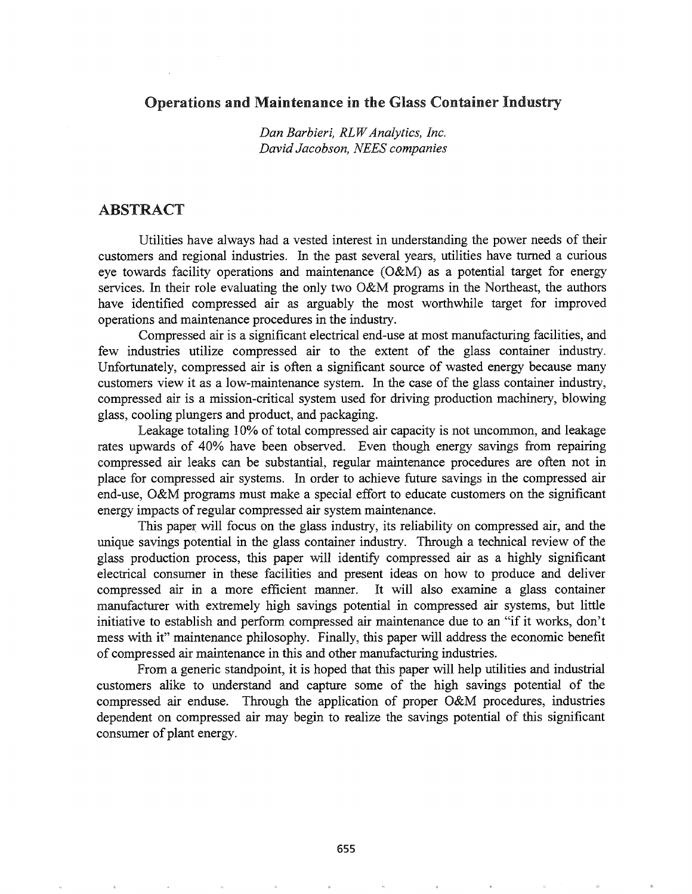# Operations and Maintenance in the Glass Container Industry

*Dan Barbieri, RLWAnalytics, Inc. David Jacobson, NEES companies*

# ABSTRACT

Utilities have always had a vested interest in understanding the power needs of their customers and regional industries. In the past several years, utilities have turned a curious eye towards facility operations and maintenance (O&M) as a potential target for energy services. In their role evaluating the only two O&M programs in the Northeast, the authors have identified compressed air as arguably the most worthwhile target for improved operations and maintenance procedures in the industry.

Compressed air is a significant electrical end-use at most manufacturing facilities, and few industries utilize compressed air to the extent of the glass container industry. Unfortunately, compressed air is often a significant source of wasted energy because many customers view it as a low-maintenance system. In the case of the glass container industry, compressed air is a mission-critical system used for driving production machinery, blowing glass, cooling plungers and product, and packaging.

Leakage totaling 10% of total compressed air capacity is not uncommon, and leakage rates upwards of 40% have been observed. Even though energy savings from repairing compressed air leaks can be substantial, regular maintenance procedures are often not in place for compressed air systems. In order to achieve future savings in the compressed air end-use, O&M programs must make a special effort to educate customers on the significant energy impacts of regular compressed air system maintenance.

This paper will focus on the glass industry, its reliability on compressed air, and the unique savings potential in the glass container industry. Through a technical review of the glass production process, this paper will identify compressed air as a highly significant electrical consumer in these facilities and present ideas on how to produce and deliver compressed air in a more efficient manner. It will also examine a glass container manufacturer with extremely high savings potential in compressed air systems, but little initiative to establish and perform compressed air maintenance due to an "if it works, don't mess with it" maintenance philosophy. Finally, this paper will address the economic benefit of compressed air maintenance in this and other manufacturing industries.

From a generic standpoint, it is hoped that this paper will help utilities and industrial customers alike to understand and capture some of the high savings potential of the compressed air enduse. Through the application of proper O&M procedures, industries dependent on compressed air may begin to realize the savings potential of this significant consumer of plant energy.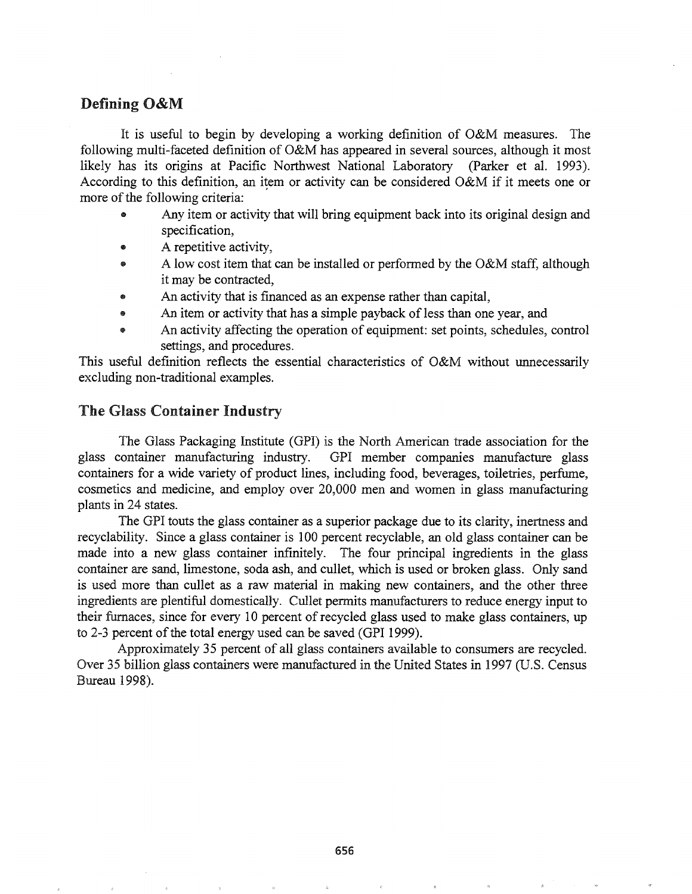# Defining O&M

It is useful to begin by developing a working definition of O&M measures. The following multi-faceted definition of O&M has appeared in several sources, although it most likely has its origins at Pacific Northwest National Laboratory (Parker et al. 1993). According to this definition, an item or activity can be considered O&M if it meets one or more of the following criteria:

- Any item or activity that will bring equipment back into its original design and specification,
- A repetitive activity,
- A low cost item that can be installed or performed by the O&M staff, although it may be contracted,
- An activity that is financed as an expense rather than capital,
- An item or activity that has a simple payback of less than one year, and
- An activity affecting the operation of equipment: set points, schedules, control settings, and procedures.

This useful definition reflects the essential characteristics of O&M without unnecessarily excluding non-traditional examples.

# The Glass Container Industry

The Glass Packaging Institute (GPI) is the North American trade association for the glass container manufacturing industry. GPI member companies manufacture glass containers for a wide variety of product lines, including food, beverages, toiletries, perfume, cosmetics and medicine, and employ over 20,000 men and women in glass manufacturing plants in 24 states.

The GPI touts the glass container as a superior package due to its clarity, inertness and recyclability. Since a glass container is 100 percent recyclable, an old glass container can be made into a new glass container infinitely. The four principal ingredients in the glass container are sand, limestone, soda ash, and cullet, which is used or broken glass. Only sand is used more than cullet as a raw material in making new containers, and the other three ingredients are plentiful domestically. Cullet permits manufacturers to reduce energy input to their furnaces, since for every 10 percent of recycled glass used to make glass containers, up to 2-3 percent of the total energy used can be saved (GPI 1999).

Approximately 35 percent of all glass containers available to consumers are recycled. Over 35 billion glass containers were manufactured in the United States in 1997 (U.S. Census Bureau 1998).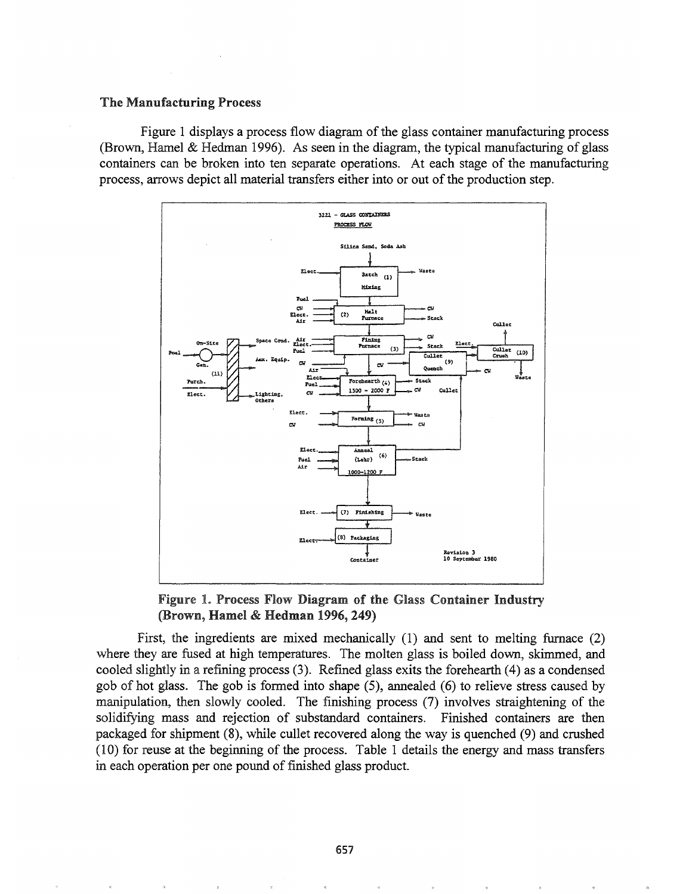#### The Manufacturing Process

Figure 1 displays a process flow diagram of the glass container manufacturing process (Brown, Hamel & Hedman 1996). As seen in the diagram, the typical manufacturing of glass containers can be broken into ten separate operations. At each stage of the manufacturing process, arrows depict all material transfers either into or out of the production step.



Figure 1. Process Flow Diagram of the Glass Container Industry (Brown, Hamel & Hedman 1996, 249)

First, the ingredients are mixed mechanically (1) and sent to melting furnace (2) where they are fused at high temperatures. The molten glass is boiled down, skimmed, and cooled slightly in a refining process (3). Refined glass exits the forehearth (4) as a condensed gob of hot glass. The gob is formed into shape (5), annealed (6) to relieve stress caused by manipulation, then slowly cooled. The finishing process (7) involves straightening of the solidifying mass and rejection of substandard containers. Finished containers are then packaged for shipment (8), while cullet recovered along the way is quenched (9) and crushed (10) for reuse at the beginning of the process. Table 1 details the energy and mass transfers in each operation per one pound of finished glass product.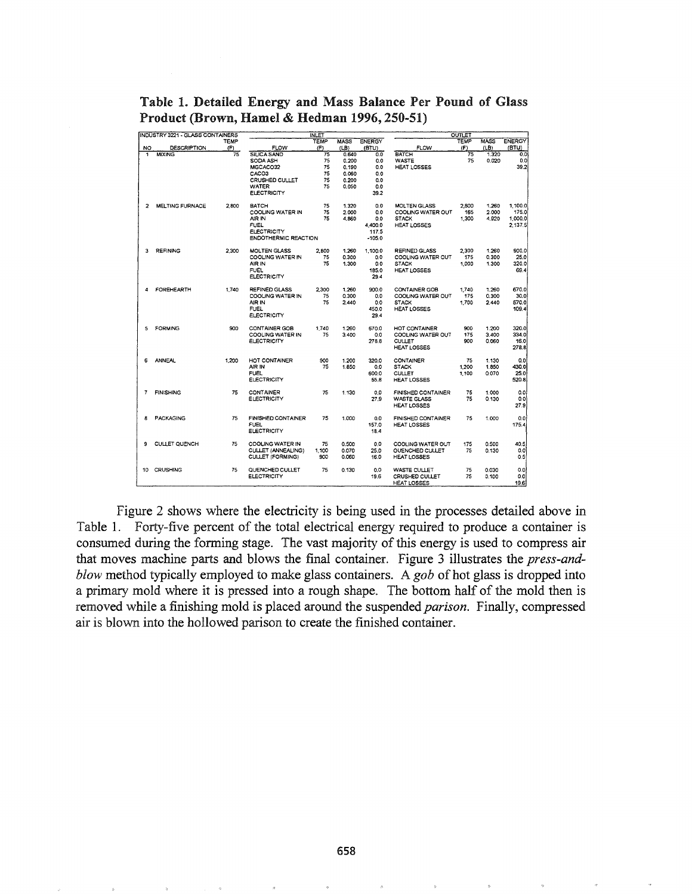|    | INDUSTRY 3221 - GLASS CONTAINERS |       |                             | <b>INLET</b> |             |               |                           | <b>OUTLET</b> |             |               |
|----|----------------------------------|-------|-----------------------------|--------------|-------------|---------------|---------------------------|---------------|-------------|---------------|
|    |                                  | TEMP  |                             | TEMP         | <b>MASS</b> | <b>ENERGY</b> |                           | <b>TEMP</b>   | <b>MASS</b> | <b>ENERGY</b> |
| NO | <b>DESCRIPTION</b>               | (F)   | <b>FLOW</b>                 | (F)          | (LB)        | (BTU)         | FLOW                      | (F)           | (LB)        | (BTU)         |
| 1  | <b>MIXING</b>                    | 75    | <b>SILICA SAND</b>          | 75           | 0.640       | 0.0           | <b>BATCH</b>              | 75            | 1.320       | 0.0           |
|    |                                  |       | SODA ASH                    | 75           | 0.200       | 0.0           | <b>WASTE</b>              | 75            | 0.020       | 0.0           |
|    |                                  |       | MGCACO32                    | 75           | 0.190       | 0.0           | HEAT LOSSES               |               |             | 39.2          |
|    |                                  |       | CACO3                       | 75           | 0.060       | 0.0           |                           |               |             |               |
|    |                                  |       |                             |              |             |               |                           |               |             |               |
|    |                                  |       | CRUSHED CULLET              | 75           | 0.200       | 0.0           |                           |               |             |               |
|    |                                  |       | <b>WATER</b>                | 75           | 0.050       | 0.0           |                           |               |             |               |
|    |                                  |       | <b>ELECTRICITY</b>          |              |             | 39.2          |                           |               |             |               |
| 2  | <b>MELTING FURNACE</b>           | 2,800 | <b>BATCH</b>                | 75           | 1.320       | 0.0           | <b>MOLTEN GLASS</b>       | 2.800         | 1.260       | 1.100.0       |
|    |                                  |       | COOLING WATER IN            | 75           | 2.000       | 0.0           | COOLING WATER OUT         | 165           | 2.000       | 175.0         |
|    |                                  |       | AIR IN                      | 75           | 4.860       | 0.0           | <b>STACK</b>              | 1,300         | 4.920       | 1,000.0       |
|    |                                  |       | FUEL                        |              |             | 4.400.0       | <b>HEAT LOSSES</b>        |               |             | 2.137.5       |
|    |                                  |       | <b>ELECTRICITY</b>          |              |             |               |                           |               |             |               |
|    |                                  |       |                             |              |             | 117.5         |                           |               |             |               |
|    |                                  |       | <b>ENDOTHERMIC REACTION</b> |              |             | $-105.0$      |                           |               |             |               |
| 3  | <b>REFINING</b>                  | 2,300 | <b>MOLTEN GLASS</b>         | 2,800        | 1.260       | 1.100.0       | <b>REFINED GLASS</b>      | 2,300         | 1.260       | 900.0         |
|    |                                  |       | COOLING WATER IN            | 75           | 0.300       | 0.0           | COOLING WATER OUT         | 175           | 0.300       | 25.0          |
|    |                                  |       | AIR IN                      | 75           | 1,300       | 0.0           | <b>STACK</b>              | 1,000         | 1.300       | 320.0         |
|    |                                  |       | <b>FUEL</b>                 |              |             | 185.0         | HEAT LOSSES               |               |             | 69.4          |
|    |                                  |       | <b>ELECTRICITY</b>          |              |             | 29.4          |                           |               |             |               |
|    |                                  |       |                             |              |             |               |                           |               |             |               |
| 4  | FOREHEARTH                       | 1.740 | <b>REFINED GLASS</b>        | 2.300        | 1.260       | 900.0         | CONTAINER GOB             | 1,740         | 1.260       | 670.0         |
|    |                                  |       | COOLING WATER IN            | 75           | 0.300       | 0.0           | COOLING WATER OUT         | 175           | 0.300       | 30.0          |
|    |                                  |       | AIR IN                      | 75           | 2.440       | 0.0           | <b>STACK</b>              | 1,700         | 2.440       | 570.0         |
|    |                                  |       | <b>FUEL</b>                 |              |             | 450.0         | <b>HEAT LOSSES</b>        |               |             | 109.4         |
|    |                                  |       |                             |              |             |               |                           |               |             |               |
|    |                                  |       | <b>ELECTRICITY</b>          |              |             | 29.4          |                           |               |             |               |
| 5  | FORMING                          | 900   | <b>CONTAINER GOB</b>        | 1,740        | 1.260       | 670.0         | HOT CONTAINER             | 900           | 1.200       | 320.0         |
|    |                                  |       | COOLING WATER IN            | 75           | 3.400       | 0.0           | COOLING WATER OUT         | 175           | 3.400       | 334.0         |
|    |                                  |       | <b>ELECTRICITY</b>          |              |             | 278.8         | <b>CULLET</b>             | 900           | 0.060       | 16.0          |
|    |                                  |       |                             |              |             |               | <b>HEAT LOSSES</b>        |               |             | 278.8         |
|    |                                  |       |                             |              |             |               |                           |               |             |               |
| 6  | <b>ANNEAL</b>                    | 1,200 | HOT CONTAINER               | 900          | 1.200       | 320.0         | <b>CONTAINER</b>          | 75            | 1.130       | 0.0           |
|    |                                  |       | AIR IN                      | 75           | 1.850       | 0.0           | <b>STACK</b>              | 1,200         | 1.850       | 430.0         |
|    |                                  |       | <b>FUEL</b>                 |              |             | 600.0         | <b>CULLET</b>             | 1,100         | 0.070       | 25.0          |
|    |                                  |       | <b>ELECTRICITY</b>          |              |             | 55.8          | HEAT LOSSES               |               |             | 520.8         |
|    |                                  |       |                             |              |             |               |                           |               |             |               |
| 7  | <b>FINISHING</b>                 | 75    | <b>CONTAINER</b>            | 75           | 1.130       | 0.0           | <b>FINISHED CONTAINER</b> | 75            | 1.000       | 0.0           |
|    |                                  |       | <b>ELECTRICITY</b>          |              |             | 27.9          | <b>WASTE GLASS</b>        | 75            | 0.130       | 0.0           |
|    |                                  |       |                             |              |             |               | <b>HEAT LOSSES</b>        |               |             | 27.9          |
|    |                                  |       |                             |              |             |               |                           |               |             |               |
| 8  | <b>PACKAGING</b>                 | 75    | <b>FINISHED CONTAINER</b>   | 75           | 1.000       | 0.0           | FINISHED CONTAINER        | 75            | 1.000       | 0.0           |
|    |                                  |       | <b>FUEL</b>                 |              |             | 157.0         | HEAT LOSSES               |               |             | 175.4         |
|    |                                  |       | <b>ELECTRICITY</b>          |              |             | 18.4          |                           |               |             |               |
|    |                                  | 75    |                             |              |             |               |                           |               |             |               |
| 9  | <b>CULLET QUENCH</b>             |       | COOLING WATER IN            | 75           | 0.500       | 0.0           | COOLING WATER OUT         | 175           | 0.500       | 40.5          |
|    |                                  |       | CULLET (ANNEALING)          | 1.100        | 0.070       | 25.0          | OUENCHED CULLET           | 75            | 0.130       | 0.0           |
|    |                                  |       | <b>CULLET (FORMING)</b>     | 900          | 0.060       | 16.0          | HEAT LOSSES               |               |             | 0.5           |
| 10 | CRUSHING                         | 75    | QUENCHED CULLET             | 75           | 0.130       | 0.0           | WASTE CULLET              | 75            | 0.030       | 0.0           |
|    |                                  |       | <b>ELECTRICITY</b>          |              |             | 19.6          | <b>CRUSHED CULLET</b>     | 75            | 0.100       | 0.0           |
|    |                                  |       |                             |              |             |               |                           |               |             | 19.6          |
|    |                                  |       |                             |              |             |               | HEAT LOSSES               |               |             |               |

Table 1. Detailed Energy and Mass Balance Per Pound of Glass Product (Brown, Hamel & Hedman 1996, 250-51)

Figure 2 shows where the electricity is being used in the processes detailed above in Table 1. Forty-five percent of the total electrical energy required to produce a container is consumed during the forming stage. The vast majority of this energy is used to compress air that moves machine parts and blows the final container. Figure 3 illustrates the *press-andblow* method typically employed to make glass containers. A *gob* of hot glass is dropped into a primary mold where it is pressed into a rough shape. The bottom half of the mold then is removed while a finishing mold is placed around the suspended *parison.* Finally, compressed air is blown into the hollowed parison to create the finished container.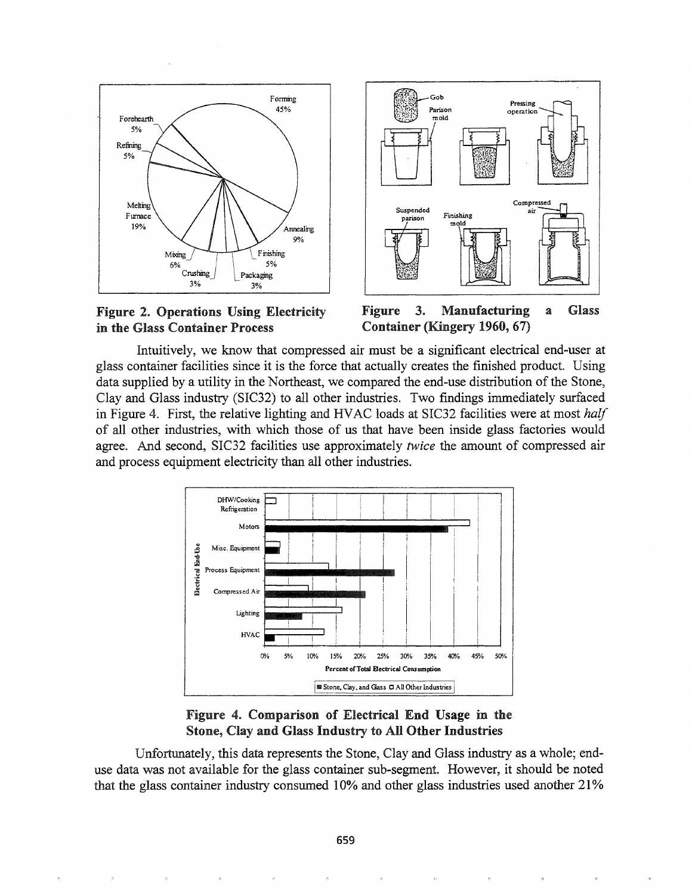





Figure 3. Manufacturing a Glass Container (Kingery 1960, 67)

Intuitively, we know that compressed air must be a significant electrical end-user at glass container facilities since it is the force that actually creates the finished product. Using data supplied by a utility in the Northeast, we compared the end-use distribution of the Stone, Clay and Glass industry (SIC32) to all other industries. Two findings immediately surfaced in Figure 4. First, the relative lighting and HVAC loads at SIC32 facilities were at most *half* of all other industries, with which those of us that have been inside glass factories would agree. And second, SIC32 facilities use approximately *twice* the amount of compressed air and process equipment electricity than all other industries.



# Figure 4. Comparison of Electrical End Usage in the Stone, Clay and Glass Industry to All Other Industries

Unfortunately, this data represents the Stone, Clay and Glass industry as a whole; enduse data was not available for the glass container sub-segment. However, it should be noted that the glass container industry consumed 10% and other glass industries used another 21%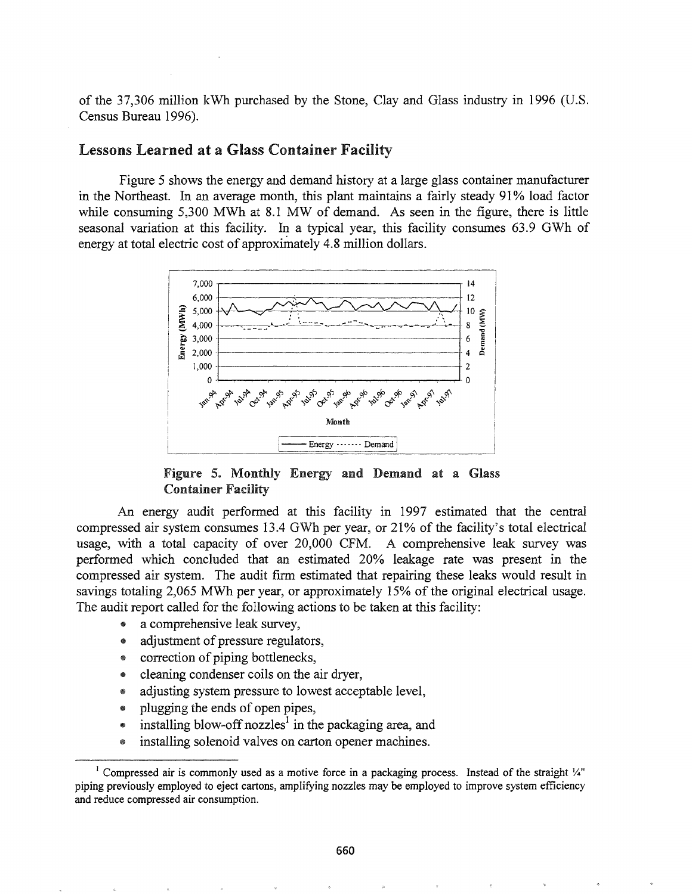of the 37,306 million kWh purchased by the Stone, Clay and Glass industry in 1996 (U.S. Census Bureau 1996).

#### Lessons Learned at a Glass Container Facility

Figure 5 shows the energy and demand history at a large glass container manufacturer in the Northeast. In an average month, this plant maintains a fairly steady 91% load factor while consuming 5,300 MWh at 8.1 MW of demand. As seen in the figure, there is little seasonal variation at this facility. In a typical year, this facility consumes 63.9 GWh of energy at total electric cost of approximately 4.8 million dollars.



Figure 5. Monthly Energy and Demand at a Glass Container Facility

An energy audit performed at this facility in 1997 estimated that the central compressed air system consumes 13.4 OWh per year, or 21% of the facility's total electrical usage, with a total capacity of over 20,000 CFM. A comprehensive leak survey was performed which concluded that an estimated 20% leakage rate was present in the compressed air system. The audit firm estimated that repairing these leaks would result in savings totaling 2,065 MWh per year, or approximately 15% of the original electrical usage. The audit report called for the following actions to be taken at this facility:

- a comprehensive leak survey,
- adjustment of pressure regulators,
- correction of piping bottlenecks,
- cleaning condenser coils on the air dryer,
- adjusting system pressure to lowest acceptable level,
- e plugging the ends of open pipes,
- $\bullet$  installing blow-off nozzles<sup>1</sup> in the packaging area, and
- installing solenoid valves on carton opener machines.

<sup>&</sup>lt;sup>1</sup> Compressed air is commonly used as a motive force in a packaging process. Instead of the straight  $\frac{1}{4}$ " piping previously employed to eject cartons, amplifying nozzles may be employed to improve system efficiency and reduce compressed air consumption.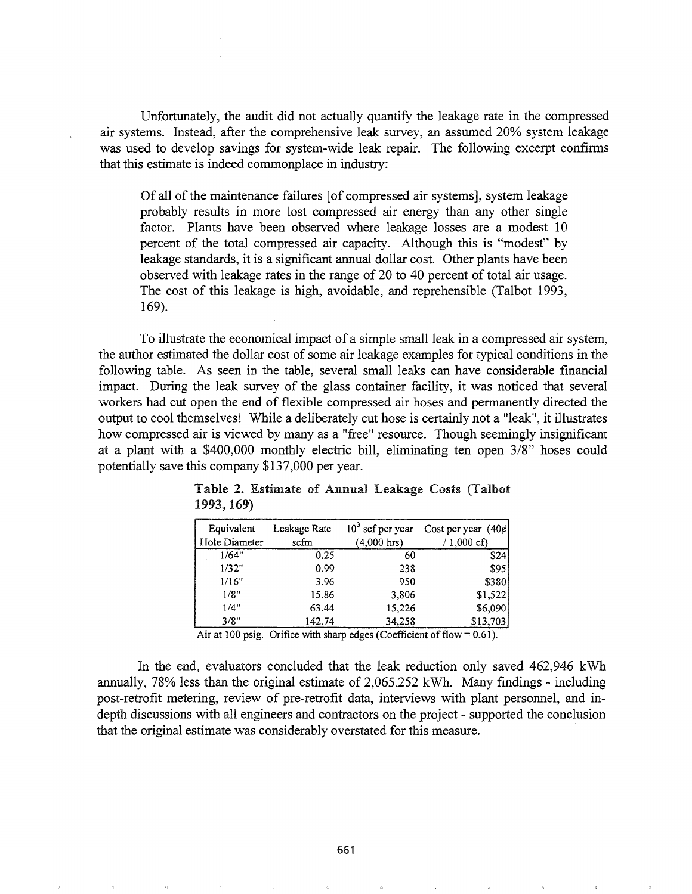Unfortunately, the audit did not actually quantify the leakage rate in the compressed air systems. Instead, after the comprehensive leak survey, an assumed 20% system leakage was used to develop savings for system-wide leak repair. The following excerpt confirms that this estimate is indeed commonplace in industry:

Of all of the maintenance failures [of compressed air systems], system leakage probably results in more lost compressed air energy than any other single factor. Plants have been observed where leakage losses are a modest 10 percent of the total compressed air capacity. Although this is "modest" by leakage standards, it is a significant annual dollar cost. Other plants have been observed with leakage rates in the range of 20 to 40 percent of total air usage. The cost of this leakage is high, avoidable, and reprehensible (Talbot 1993, 169).

To illustrate the economical impact of a simple small leak in a compressed air system, the author estimated the dollar cost of some air leakage examples for typical conditions in the following table. As seen in the table, several small leaks can have considerable financial impact. During the leak survey of the glass container facility, it was noticed that several workers had cut open the end of flexible compressed air hoses and permanently directed the output to cool themselves! While a deliberately cut hose is certainly not a "leak", it illustrates how compressed air is viewed by many as a "free" resource. Though seemingly insignificant at a plant with a \$400,000 monthly electric bill, eliminating ten open 3/8" hoses could potentially save this company \$137,000 per year.

| Equivalent<br>Hole Diameter | Leakage Rate<br>scfm | $103$ scf per year<br>(4,000 hrs) | Cost per year (40¢)<br>/ 1,000 cf) |
|-----------------------------|----------------------|-----------------------------------|------------------------------------|
| 1/64"                       | 0.25                 | 60                                | \$24                               |
| 1/32"                       | 0.99                 | 238                               | \$95                               |
| 1/16"                       | 3.96                 | 950                               | \$380                              |
| 1/8"                        | 15.86                | 3,806                             | \$1,522                            |
| 1/4"                        | 63.44                | 15,226                            | \$6,090                            |
| 3/8"                        | 142.74               | 34,258                            | \$13,703                           |

Table 2. Estimate of Annual Leakage Costs (Talbot 1993, 169)

Air at 100 psig. Orifice with sharp edges (Coefficient of flow =  $0.61$ ).

In the end, evaluators concluded that the leak reduction only saved 462,946 kWh annually,  $78\%$  less than the original estimate of  $2,065,252$  kWh. Many findings - including post-retrofit metering, review of pre-retrofit data, interviews with plant personnel, and indepth discussions with all engineers and contractors on the project - supported the conclusion that the original estimate was considerably overstated for this measure. '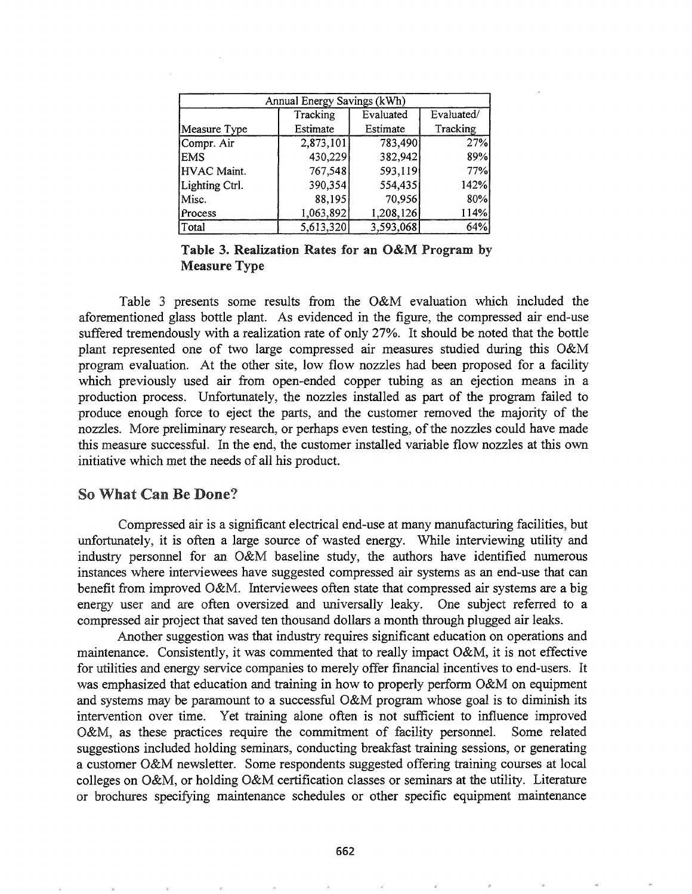| Annual Energy Savings (kWh) |           |           |            |  |  |  |  |
|-----------------------------|-----------|-----------|------------|--|--|--|--|
|                             | Tracking  | Evaluated | Evaluated/ |  |  |  |  |
| Measure Type                | Estimate  | Estimate  | Tracking   |  |  |  |  |
| Compr. Air                  | 2,873,101 | 783,490   | 27%        |  |  |  |  |
| <b>EMS</b>                  | 430,229   | 382,942   | 89%        |  |  |  |  |
| HVAC Maint.                 | 767,548   | 593,119   | 77%        |  |  |  |  |
| Lighting Ctrl.              | 390,354   | 554,435   | 142%       |  |  |  |  |
| Misc.                       | 88,195    | 70,956    | 80%        |  |  |  |  |
| Process                     | 1,063,892 | 1,208,126 | 114%       |  |  |  |  |
| Total                       | 5,613,320 | 3,593,068 | 64%        |  |  |  |  |

Table 3. Realization Rates for an O&M Program by Measure Type

Table 3 presents some results from the O&M evaluation which included the aforementioned glass bottle plant. As evidenced in the figure, the compressed air end-use suffered tremendously with a realization rate of only 27%. It should be noted that the bottle plant represented one of two large compressed air measures studied during this O&M program evaluation. At the other site, low flow nozzles had been proposed for a facility which previously used air from open-ended copper tubing as an ejection means in a production process. Unfortunately, the nozzles installed as part of the program failed to produce enough force to eject the parts, and the customer removed the majority of the nozzles. More preliminary research, or perhaps even testing, of the nozzles could have made this measure successful. In the end, the customer installed variable flow nozzles at this own initiative which met the needs of all his product.

### So What Can Be Done?

Compressed air is a significant electrical end-use at many manufacturing facilities, but unfortunately, it is often a large source of wasted energy. While interviewing utility and industry personnel for an O&M baseline study, the authors have identified numerous instances where interviewees have suggested compressed air systems as an end-use that can benefit from improved O&M. Interviewees often state that compressed air systems are a big energy user and are often oversized and universally leaky. One subject referred to a compressed air project that saved ten thousand dollars a month through plugged air leaks.

Another suggestion was that industry requires significant education on operations and maintenance. Consistently, it was commented that to really impact O&M, it is not effective for utilities and energy service companies to merely offer financial incentives to end-users. It was emphasized that education and training in how to properly perform O&M on equipment and systems may be paramount to a successful O&M program whose goal is to diminish its intervention over time. Yet training alone often is not sufficient to influence improved O&M, as these practices require the commitment of facility personnel. Some related suggestions included holding seminars, conducting breakfast training sessions, or generating a customer O&M newsletter. Some respondents suggested offering training courses at local colleges on O&M, or holding O&M certification classes or seminars at the utility. Literature or brochures specifying maintenance schedules or other specific equipment maintenance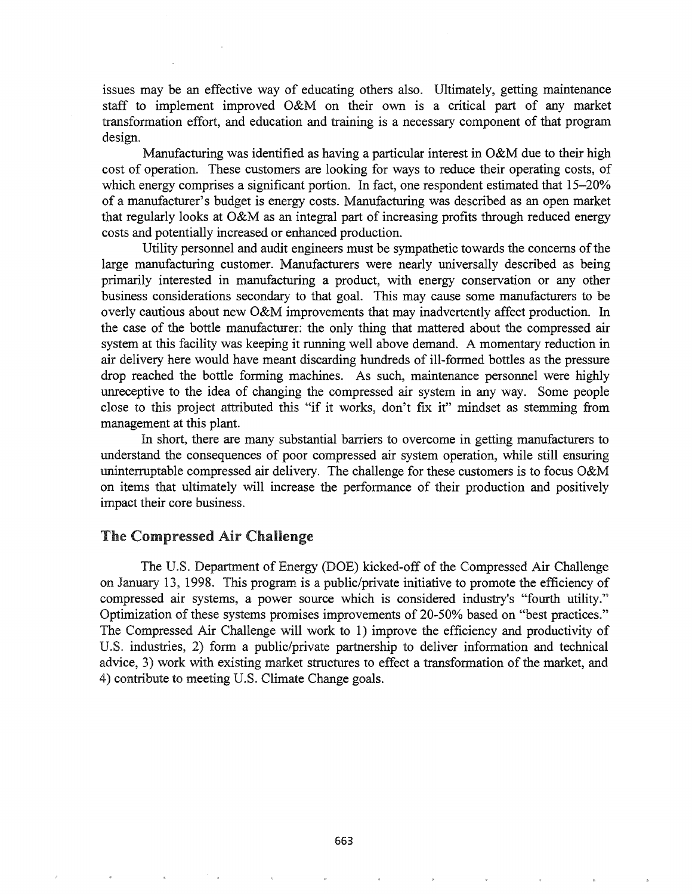issues may be an effective way of educating others also. Ultimately, getting maintenance staff to implement improved O&M on their own is a critical part of any market transformation effort, and education and training is a necessary component of that program design.

Manufacturing was identified as having a particular interest in O&M due to their high cost of operation. These customers are looking for ways to reduce their operating costs, of which energy comprises a significant portion. In fact, one respondent estimated that 15-20% of a manufacturer's budget is energy costs. Manufacturing was described as an open market that regularly looks at O&M as an integral part of increasing profits through reduced energy costs and potentially increased or enhanced production.

Utility personnel and audit engineers must be sympathetic towards the concerns of the large manufacturing customer. Manufacturers were nearly universally described as being primarily interested in manufacturing a product, with energy conservation or any other business considerations secondary to that goal. This may cause some manufacturers to be overly cautious about new O&M improvements that may inadvertently affect production. In the case of the bottle manufacturer: the only thing that mattered about the compressed air system at this facility was keeping it running well above demand. A momentary reduction in air delivery here would have meant discarding hundreds of ill-formed bottles as the pressure drop reached the bottle forming machines. As such, maintenance personnel were highly unreceptive to the idea of changing the compressed air system in any way. Some people close to this project attributed this "if it works, don't fix it" mindset as stemming from management at this plant.

In short, there are many substantial barriers to overcome in getting manufacturers to understand the consequences of poor compressed air system operation, while still ensuring uninterruptable compressed air delivery. The challenge for these customers is to focus O&M on items that ultimately will increase the performance of their production and positively impact their core business.

#### The Compressed Air Challenge

The U.S. Department of Energy (DOE) kicked-off of the Compressed Air Challenge on January 13, 1998. This program is a public/private initiative to promote the efficiency of compressed air systems, a power source which is considered industry's "fourth utility." Optimization of these systems promises improvements of 20-50% based on "best practices." The Compressed Air Challenge will work to 1) improve the efficiency and productivity of U.S. industries, 2) form a public/private partnership to deliver information and technical advice, 3) work with existing market structures to effect a transformation of the market, and 4) contribute to meeting U.S. Climate Change goals.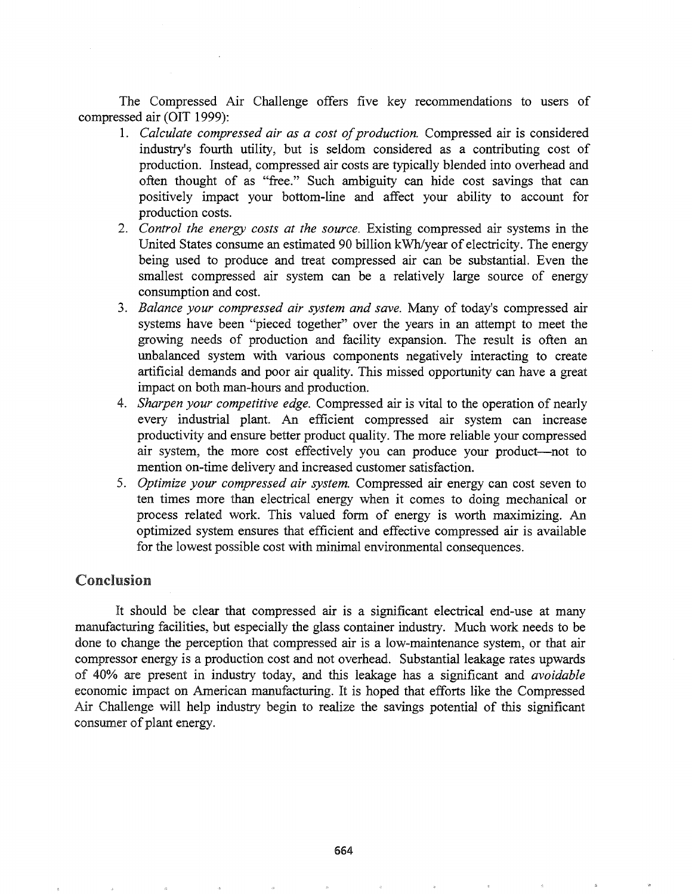The Compressed Air Challenge offers five key recommendations to users of compressed air (OIT 1999):

- 1. *Calculate compressed air as a cost of production.* Compressed air is considered industry's fourth utility, but is seldom considered as a contributing cost of production. Instead, compressed air costs are typically blended into overhead and often thought of as "free." Such ambiguity can hide cost savings that can positively impact your bottom-line and affect your ability to account for production costs.
- 2. *Control the energy costs at the source.* Existing compressed air systems in the United States consume an estimated 90 billion kWh/year of electricity. The energy being used to produce and treat compressed air can be substantial. Even the smallest compressed air system can be a relatively large source of energy consumption and cost.
- *3. Balance your compressed air system and save.* Many of today's compressed air systems have been "pieced together" over the years in an attempt to meet the growing needs of production and facility expansion. The result is often an unbalanced system with various components negatively interacting to create artificial demands and poor air quality. This missed opportunity can have a great impact on both man-hours and production.
- 4. *Sharpen your competitive edge.* Compressed air is vital to the operation of nearly every industrial plant. An efficient compressed air system can increase productivity and ensure better product quality. The more reliable your compressed air system, the more cost effectively you can produce your product-not to mention on-time delivery and increased customer satisfaction.
- *5. Optimize your compressed air system.* Compressed air energy can cost seven to ten times more than electrical energy when it comes to doing mechanical or process related work. This valued form of energy is worth maximizing. An optimized system ensures that efficient and effective compressed air is available for the lowest possible cost with minimal environmental consequences.

# Conclusion

It should be clear that compressed air is a significant electrical end-use at many manufacturing facilities, but especially the glass container industry. Much work needs to be done to change the perception that compressed air is a low-maintenance system, or that air compressor energy is a production cost and not overhead. Substantial leakage rates upwards of 40% are present in industry today, and this leakage has a significant and *avoidable* economic impact on American manufacturing. It is hoped that efforts like the Compressed Challenge will help industry begin to realize the savings potential of this significant consumer of plant energy.